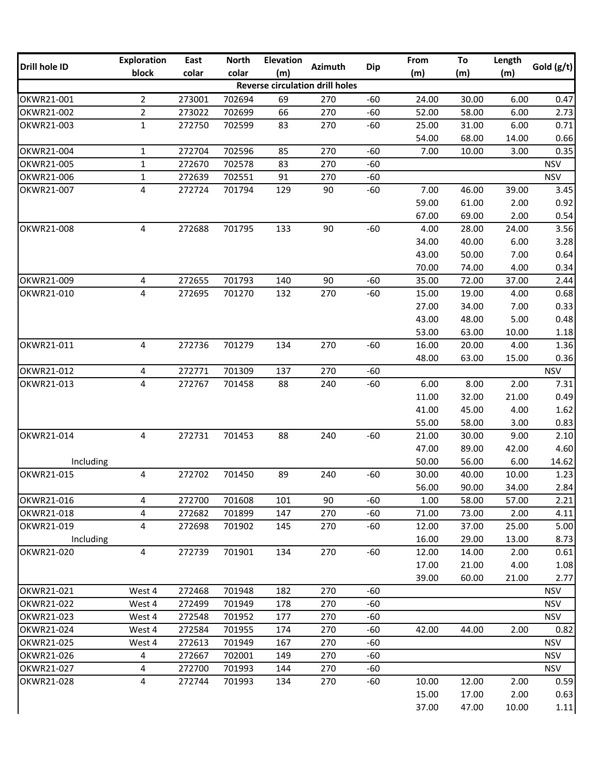|               | <b>Exploration</b> | East   | <b>North</b><br><b>Elevation</b> |     | From                                   | To         | Length |       |       |              |
|---------------|--------------------|--------|----------------------------------|-----|----------------------------------------|------------|--------|-------|-------|--------------|
| Drill hole ID | block              | colar  | colar                            | (m) | <b>Azimuth</b>                         | <b>Dip</b> | (m)    | (m)   | (m)   | Gold $(g/t)$ |
|               |                    |        |                                  |     | <b>Reverse circulation drill holes</b> |            |        |       |       |              |
| OKWR21-001    | $2^{\circ}$        | 273001 | 702694                           | 69  | 270                                    | $-60$      | 24.00  | 30.00 | 6.00  | 0.47         |
| OKWR21-002    | $\overline{2}$     | 273022 | 702699                           | 66  | 270                                    | $-60$      | 52.00  | 58.00 | 6.00  | 2.73         |
| OKWR21-003    | $\mathbf{1}$       | 272750 | 702599                           | 83  | 270                                    | $-60$      | 25.00  | 31.00 | 6.00  | 0.71         |
|               |                    |        |                                  |     |                                        |            | 54.00  | 68.00 | 14.00 | 0.66         |
| OKWR21-004    | $\mathbf{1}$       | 272704 | 702596                           | 85  | 270                                    | $-60$      | 7.00   | 10.00 | 3.00  | 0.35         |
| OKWR21-005    | $\mathbf{1}$       | 272670 | 702578                           | 83  | 270                                    | $-60$      |        |       |       | <b>NSV</b>   |
| OKWR21-006    | $\mathbf{1}$       | 272639 | 702551                           | 91  | 270                                    | $-60$      |        |       |       | <b>NSV</b>   |
| OKWR21-007    | 4                  | 272724 | 701794                           | 129 | 90                                     | $-60$      | 7.00   | 46.00 | 39.00 | 3.45         |
|               |                    |        |                                  |     |                                        |            | 59.00  | 61.00 | 2.00  | 0.92         |
|               |                    |        |                                  |     |                                        |            | 67.00  | 69.00 | 2.00  | 0.54         |
| OKWR21-008    | 4                  | 272688 | 701795                           | 133 | 90                                     | $-60$      | 4.00   | 28.00 | 24.00 | 3.56         |
|               |                    |        |                                  |     |                                        |            | 34.00  | 40.00 | 6.00  | 3.28         |
|               |                    |        |                                  |     |                                        |            | 43.00  | 50.00 | 7.00  | 0.64         |
|               |                    |        |                                  |     |                                        |            | 70.00  | 74.00 | 4.00  | 0.34         |
| OKWR21-009    | $\overline{4}$     | 272655 | 701793                           | 140 | 90                                     | $-60$      | 35.00  | 72.00 | 37.00 | 2.44         |
| OKWR21-010    | 4                  | 272695 | 701270                           | 132 | 270                                    | $-60$      | 15.00  | 19.00 | 4.00  | 0.68         |
|               |                    |        |                                  |     |                                        |            | 27.00  | 34.00 | 7.00  | 0.33         |
|               |                    |        |                                  |     |                                        |            | 43.00  | 48.00 | 5.00  | 0.48         |
|               |                    |        |                                  |     |                                        |            | 53.00  | 63.00 | 10.00 | 1.18         |
| OKWR21-011    | 4                  | 272736 | 701279                           | 134 | 270                                    | $-60$      | 16.00  | 20.00 | 4.00  | 1.36         |
|               |                    |        |                                  |     |                                        |            | 48.00  | 63.00 | 15.00 | 0.36         |
| OKWR21-012    | 4                  | 272771 | 701309                           | 137 | 270                                    | $-60$      |        |       |       | <b>NSV</b>   |
| OKWR21-013    | 4                  | 272767 | 701458                           | 88  | 240                                    | $-60$      | 6.00   | 8.00  | 2.00  | 7.31         |
|               |                    |        |                                  |     |                                        |            | 11.00  | 32.00 | 21.00 | 0.49         |
|               |                    |        |                                  |     |                                        |            | 41.00  | 45.00 | 4.00  | 1.62         |
|               |                    |        |                                  |     |                                        |            | 55.00  | 58.00 | 3.00  | 0.83         |
| OKWR21-014    | 4                  | 272731 | 701453                           | 88  | 240                                    | $-60$      | 21.00  | 30.00 | 9.00  | 2.10         |
|               |                    |        |                                  |     |                                        |            | 47.00  | 89.00 | 42.00 | 4.60         |
| Including     |                    |        |                                  |     |                                        |            | 50.00  | 56.00 | 6.00  | 14.62        |
| OKWR21-015    | 4                  | 272702 | 701450                           | 89  | 240                                    | $-60$      | 30.00  | 40.00 | 10.00 | 1.23         |
|               |                    |        |                                  |     |                                        |            | 56.00  | 90.00 | 34.00 | 2.84         |
| OKWR21-016    | 4                  | 272700 | 701608                           | 101 | 90                                     | $-60$      | 1.00   | 58.00 | 57.00 | 2.21         |
| OKWR21-018    | 4                  | 272682 | 701899                           | 147 | 270                                    | $-60$      | 71.00  | 73.00 | 2.00  | 4.11         |
| OKWR21-019    | 4                  | 272698 | 701902                           | 145 | 270                                    | $-60$      | 12.00  | 37.00 | 25.00 | 5.00         |
| Including     |                    |        |                                  |     |                                        |            | 16.00  | 29.00 | 13.00 | 8.73         |
| OKWR21-020    | 4                  | 272739 | 701901                           | 134 | 270                                    | $-60$      | 12.00  | 14.00 | 2.00  | 0.61         |
|               |                    |        |                                  |     |                                        |            | 17.00  | 21.00 | 4.00  | 1.08         |
|               |                    |        |                                  |     |                                        |            | 39.00  | 60.00 | 21.00 | 2.77         |
| OKWR21-021    | West 4             | 272468 | 701948                           | 182 | 270                                    | $-60$      |        |       |       | <b>NSV</b>   |
| OKWR21-022    | West 4             | 272499 | 701949                           | 178 | 270                                    | $-60$      |        |       |       | <b>NSV</b>   |
| OKWR21-023    | West 4             | 272548 | 701952                           | 177 | 270                                    | $-60$      |        |       |       | <b>NSV</b>   |
| OKWR21-024    | West 4             | 272584 | 701955                           | 174 | 270                                    | $-60$      | 42.00  | 44.00 | 2.00  | 0.82         |
| OKWR21-025    | West 4             | 272613 | 701949                           | 167 | 270                                    | $-60$      |        |       |       | <b>NSV</b>   |
| OKWR21-026    | 4                  | 272667 | 702001                           | 149 | 270                                    | $-60$      |        |       |       | <b>NSV</b>   |
| OKWR21-027    | 4                  | 272700 | 701993                           | 144 | 270                                    | $-60$      |        |       |       | <b>NSV</b>   |
| OKWR21-028    | 4                  | 272744 | 701993                           | 134 | 270                                    | $-60$      | 10.00  | 12.00 | 2.00  | 0.59         |
|               |                    |        |                                  |     |                                        |            | 15.00  | 17.00 | 2.00  | 0.63         |
|               |                    |        |                                  |     |                                        |            | 37.00  | 47.00 | 10.00 | 1.11         |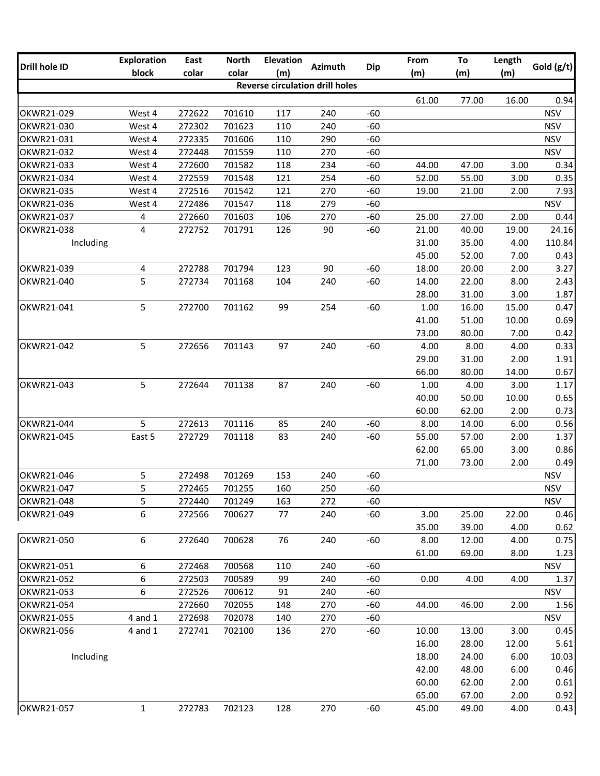| <b>Drill hole ID</b>     | <b>Exploration</b>  | East             | <b>North</b> | <b>Elevation</b> | <b>Azimuth</b>                         | <b>Dip</b>     | From           | To             | Length       | Gold (g/t)   |
|--------------------------|---------------------|------------------|--------------|------------------|----------------------------------------|----------------|----------------|----------------|--------------|--------------|
|                          | block               | colar            | colar        | (m)              |                                        |                | (m)            | (m)            | (m)          |              |
|                          |                     |                  |              |                  | <b>Reverse circulation drill holes</b> |                |                |                |              |              |
|                          |                     |                  |              |                  |                                        |                | 61.00          | 77.00          | 16.00        | 0.94         |
| OKWR21-029               | West 4              | 272622           | 701610       | 117              | 240                                    | $-60$          |                |                |              | <b>NSV</b>   |
| OKWR21-030               | West 4              | 272302           | 701623       | 110              | 240                                    | $-60$          |                |                |              | <b>NSV</b>   |
| OKWR21-031               | West 4              | 272335           | 701606       | 110              | 290                                    | $-60$          |                |                |              | <b>NSV</b>   |
| OKWR21-032               | West 4              | 272448           | 701559       | 110              | 270                                    | $-60$          |                |                |              | <b>NSV</b>   |
| OKWR21-033               | West 4              | 272600           | 701582       | 118              | 234                                    | $-60$          | 44.00          | 47.00          | 3.00         | 0.34         |
| OKWR21-034               | West 4              | 272559           | 701548       | 121              | 254                                    | $-60$          | 52.00          | 55.00          | 3.00         | 0.35         |
| OKWR21-035               | West 4              | 272516           | 701542       | 121              | 270                                    | $-60$          | 19.00          | 21.00          | 2.00         | 7.93         |
| OKWR21-036               | West 4              | 272486           | 701547       | 118              | 279                                    | $-60$          |                |                |              | <b>NSV</b>   |
| OKWR21-037<br>OKWR21-038 | 4                   | 272660           | 701603       | 106              | 270                                    | $-60$          | 25.00          | 27.00          | 2.00         | 0.44         |
|                          | 4                   | 272752           | 701791       | 126              | 90                                     | $-60$          | 21.00          | 40.00          | 19.00        | 24.16        |
| Including                |                     |                  |              |                  |                                        |                | 31.00          | 35.00          | 4.00         | 110.84       |
|                          |                     |                  |              |                  |                                        |                | 45.00          | 52.00          | 7.00         | 0.43         |
| OKWR21-039<br>OKWR21-040 | $\overline{4}$<br>5 | 272788<br>272734 | 701794       | 123<br>104       | 90<br>240                              | $-60$<br>$-60$ | 18.00<br>14.00 | 20.00          | 2.00         | 3.27<br>2.43 |
|                          |                     |                  | 701168       |                  |                                        |                | 28.00          | 22.00<br>31.00 | 8.00<br>3.00 |              |
| OKWR21-041               | 5                   | 272700           | 701162       | 99               | 254                                    | $-60$          | 1.00           | 16.00          | 15.00        | 1.87<br>0.47 |
|                          |                     |                  |              |                  |                                        |                | 41.00          | 51.00          | 10.00        | 0.69         |
|                          |                     |                  |              |                  |                                        |                | 73.00          | 80.00          | 7.00         | 0.42         |
| OKWR21-042               | 5                   | 272656           | 701143       | 97               | 240                                    | $-60$          | 4.00           | 8.00           | 4.00         | 0.33         |
|                          |                     |                  |              |                  |                                        |                | 29.00          | 31.00          | 2.00         | 1.91         |
|                          |                     |                  |              |                  |                                        |                | 66.00          | 80.00          | 14.00        | 0.67         |
| OKWR21-043               | 5                   | 272644           | 701138       | 87               | 240                                    | $-60$          | 1.00           | 4.00           | 3.00         | 1.17         |
|                          |                     |                  |              |                  |                                        |                | 40.00          | 50.00          | 10.00        | 0.65         |
|                          |                     |                  |              |                  |                                        |                | 60.00          | 62.00          | 2.00         | 0.73         |
| OKWR21-044               | 5                   | 272613           | 701116       | 85               | 240                                    | $-60$          | 8.00           | 14.00          | 6.00         | 0.56         |
| OKWR21-045               | East 5              | 272729           | 701118       | 83               | 240                                    | $-60$          | 55.00          | 57.00          | 2.00         | 1.37         |
|                          |                     |                  |              |                  |                                        |                | 62.00          | 65.00          | 3.00         | 0.86         |
|                          |                     |                  |              |                  |                                        |                | 71.00          | 73.00          | 2.00         | 0.49         |
| OKWR21-046               | 5                   | 272498           | 701269       | 153              | 240                                    | $-60$          |                |                |              | <b>NSV</b>   |
| OKWR21-047               | 5                   | 272465           | 701255       | 160              | 250                                    | $-60$          |                |                |              | <b>NSV</b>   |
| OKWR21-048               | 5                   | 272440           | 701249       | 163              | 272                                    | $-60$          |                |                |              | <b>NSV</b>   |
| OKWR21-049               | 6                   | 272566           | 700627       | 77               | 240                                    | $-60$          | 3.00           | 25.00          | 22.00        | 0.46         |
|                          |                     |                  |              |                  |                                        |                | 35.00          | 39.00          | 4.00         | 0.62         |
| OKWR21-050               | 6                   | 272640           | 700628       | 76               | 240                                    | $-60$          | 8.00           | 12.00          | 4.00         | 0.75         |
|                          |                     |                  |              |                  |                                        |                | 61.00          | 69.00          | 8.00         | 1.23         |
| OKWR21-051               | 6                   | 272468           | 700568       | 110              | 240                                    | $-60$          |                |                |              | <b>NSV</b>   |
| OKWR21-052               | 6                   | 272503           | 700589       | 99               | 240                                    | $-60$          | 0.00           | 4.00           | 4.00         | 1.37         |
| OKWR21-053               | 6                   | 272526           | 700612       | 91               | 240                                    | $-60$          |                |                |              | <b>NSV</b>   |
| OKWR21-054               |                     | 272660           | 702055       | 148              | 270                                    | $-60$          | 44.00          | 46.00          | 2.00         | 1.56         |
| OKWR21-055               | $4$ and $1$         | 272698           | 702078       | 140              | 270                                    | $-60$          |                |                |              | <b>NSV</b>   |
| OKWR21-056               | 4 and 1             | 272741           | 702100       | 136              | 270                                    | $-60$          | 10.00          | 13.00          | 3.00         | 0.45         |
|                          |                     |                  |              |                  |                                        |                | 16.00          | 28.00          | 12.00        | 5.61         |
| Including                |                     |                  |              |                  |                                        |                | 18.00          | 24.00          | 6.00         | 10.03        |
|                          |                     |                  |              |                  |                                        |                | 42.00          | 48.00          | 6.00         | 0.46         |
|                          |                     |                  |              |                  |                                        |                | 60.00          | 62.00          | 2.00         | 0.61         |
|                          |                     |                  |              |                  |                                        |                | 65.00          | 67.00          | 2.00         | 0.92         |
| OKWR21-057               | $\mathbf{1}$        | 272783           | 702123       | 128              | 270                                    | $-60$          | 45.00          | 49.00          | 4.00         | 0.43         |
|                          |                     |                  |              |                  |                                        |                |                |                |              |              |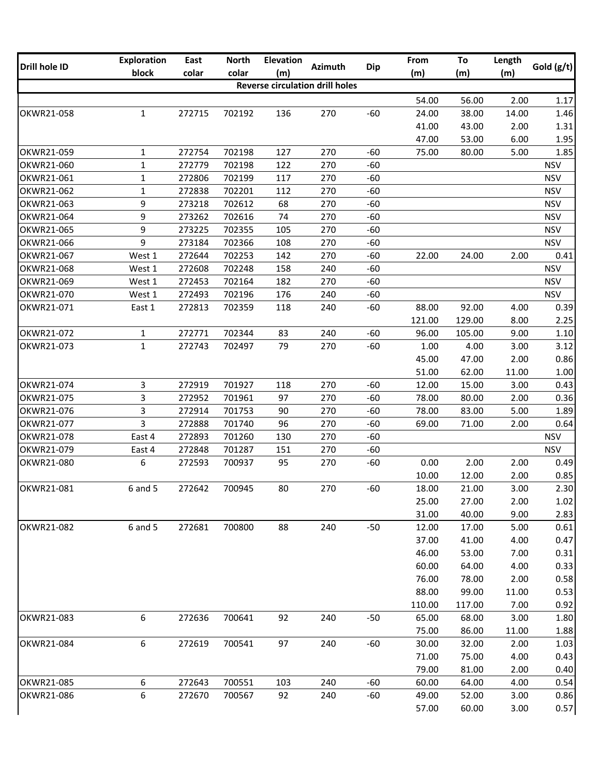| <b>Drill hole ID</b> | <b>Exploration</b> | East   | <b>North</b> | <b>Elevation</b>                       | <b>Azimuth</b> | <b>Dip</b> | From   | To     | Length | Gold (g/t) |
|----------------------|--------------------|--------|--------------|----------------------------------------|----------------|------------|--------|--------|--------|------------|
|                      | block              | colar  | colar        | (m)                                    |                |            | (m)    | (m)    | (m)    |            |
|                      |                    |        |              | <b>Reverse circulation drill holes</b> |                |            |        |        |        |            |
|                      |                    |        |              |                                        |                |            | 54.00  | 56.00  | 2.00   | 1.17       |
| OKWR21-058           | $\mathbf{1}$       | 272715 | 702192       | 136                                    | 270            | $-60$      | 24.00  | 38.00  | 14.00  | 1.46       |
|                      |                    |        |              |                                        |                |            | 41.00  | 43.00  | 2.00   | 1.31       |
|                      |                    |        |              |                                        |                |            | 47.00  | 53.00  | 6.00   | 1.95       |
| OKWR21-059           | $\mathbf{1}$       | 272754 | 702198       | 127                                    | 270            | $-60$      | 75.00  | 80.00  | 5.00   | 1.85       |
| OKWR21-060           | $\mathbf{1}$       | 272779 | 702198       | 122                                    | 270            | $-60$      |        |        |        | <b>NSV</b> |
| OKWR21-061           | $\mathbf{1}$       | 272806 | 702199       | 117                                    | 270            | $-60$      |        |        |        | <b>NSV</b> |
| OKWR21-062           | $\mathbf{1}$       | 272838 | 702201       | 112                                    | 270            | $-60$      |        |        |        | <b>NSV</b> |
| OKWR21-063           | 9                  | 273218 | 702612       | 68                                     | 270            | $-60$      |        |        |        | <b>NSV</b> |
| OKWR21-064           | 9                  | 273262 | 702616       | 74                                     | 270            | $-60$      |        |        |        | <b>NSV</b> |
| OKWR21-065           | 9                  | 273225 | 702355       | 105                                    | 270            | $-60$      |        |        |        | <b>NSV</b> |
| OKWR21-066           | 9                  | 273184 | 702366       | 108                                    | 270            | $-60$      |        |        |        | <b>NSV</b> |
| OKWR21-067           | West 1             | 272644 | 702253       | 142                                    | 270            | $-60$      | 22.00  | 24.00  | 2.00   | 0.41       |
| OKWR21-068           | West 1             | 272608 | 702248       | 158                                    | 240            | $-60$      |        |        |        | <b>NSV</b> |
| OKWR21-069           | West 1             | 272453 | 702164       | 182                                    | 270            | $-60$      |        |        |        | <b>NSV</b> |
| OKWR21-070           | West 1             | 272493 | 702196       | 176                                    | 240            | $-60$      |        |        |        | <b>NSV</b> |
| OKWR21-071           | East 1             | 272813 | 702359       | 118                                    | 240            | $-60$      | 88.00  | 92.00  | 4.00   | 0.39       |
|                      |                    |        |              |                                        |                |            | 121.00 | 129.00 | 8.00   | 2.25       |
| OKWR21-072           | $\mathbf{1}$       | 272771 | 702344       | 83                                     | 240            | $-60$      | 96.00  | 105.00 | 9.00   | 1.10       |
| OKWR21-073           | $\mathbf{1}$       | 272743 | 702497       | 79                                     | 270            | $-60$      | 1.00   | 4.00   | 3.00   | 3.12       |
|                      |                    |        |              |                                        |                |            | 45.00  | 47.00  | 2.00   | 0.86       |
|                      |                    |        |              |                                        |                |            | 51.00  | 62.00  | 11.00  | 1.00       |
| OKWR21-074           | 3                  | 272919 | 701927       | 118                                    | 270            | $-60$      | 12.00  | 15.00  | 3.00   | 0.43       |
| OKWR21-075           | 3                  | 272952 | 701961       | 97                                     | 270            | $-60$      | 78.00  | 80.00  | 2.00   | 0.36       |
| OKWR21-076           | 3                  | 272914 | 701753       | 90                                     | 270            | $-60$      | 78.00  | 83.00  | 5.00   | 1.89       |
| OKWR21-077           | 3                  | 272888 | 701740       | 96                                     | 270            | $-60$      | 69.00  | 71.00  | 2.00   | 0.64       |
| OKWR21-078           | East 4             | 272893 | 701260       | 130                                    | 270            | $-60$      |        |        |        | <b>NSV</b> |
| OKWR21-079           | East 4             | 272848 | 701287       | 151                                    | 270            | $-60$      |        |        |        | <b>NSV</b> |
| OKWR21-080           | 6                  | 272593 | 700937       | 95                                     | 270            | $-60$      | 0.00   | 2.00   | 2.00   | 0.49       |
|                      |                    |        |              |                                        |                |            | 10.00  | 12.00  | 2.00   | 0.85       |
| OKWR21-081           | 6 and 5            | 272642 | 700945       | 80                                     | 270            | $-60$      | 18.00  | 21.00  | 3.00   | 2.30       |
|                      |                    |        |              |                                        |                |            | 25.00  | 27.00  | 2.00   | 1.02       |
|                      |                    |        |              |                                        |                |            | 31.00  | 40.00  | 9.00   | 2.83       |
| OKWR21-082           | $6$ and $5$        | 272681 | 700800       | 88                                     | 240            | $-50$      | 12.00  | 17.00  | 5.00   | 0.61       |
|                      |                    |        |              |                                        |                |            | 37.00  | 41.00  | 4.00   | 0.47       |
|                      |                    |        |              |                                        |                |            | 46.00  | 53.00  | 7.00   | 0.31       |
|                      |                    |        |              |                                        |                |            | 60.00  | 64.00  | 4.00   | 0.33       |
|                      |                    |        |              |                                        |                |            | 76.00  | 78.00  | 2.00   | 0.58       |
|                      |                    |        |              |                                        |                |            | 88.00  | 99.00  | 11.00  | 0.53       |
|                      |                    |        |              |                                        |                |            | 110.00 | 117.00 | 7.00   | 0.92       |
| OKWR21-083           | 6                  | 272636 | 700641       | 92                                     | 240            | $-50$      | 65.00  | 68.00  | 3.00   | 1.80       |
|                      |                    |        |              |                                        |                |            | 75.00  | 86.00  | 11.00  | 1.88       |
| OKWR21-084           | 6                  | 272619 | 700541       | 97                                     | 240            | $-60$      | 30.00  | 32.00  | 2.00   | 1.03       |
|                      |                    |        |              |                                        |                |            | 71.00  | 75.00  | 4.00   | 0.43       |
|                      |                    |        |              |                                        |                |            | 79.00  | 81.00  | 2.00   | 0.40       |
| OKWR21-085           | 6                  | 272643 | 700551       | 103                                    | 240            | $-60$      | 60.00  | 64.00  | 4.00   | 0.54       |
| OKWR21-086           | 6                  | 272670 | 700567       | 92                                     | 240            | $-60$      | 49.00  | 52.00  | 3.00   | 0.86       |
|                      |                    |        |              |                                        |                |            | 57.00  | 60.00  | 3.00   | 0.57       |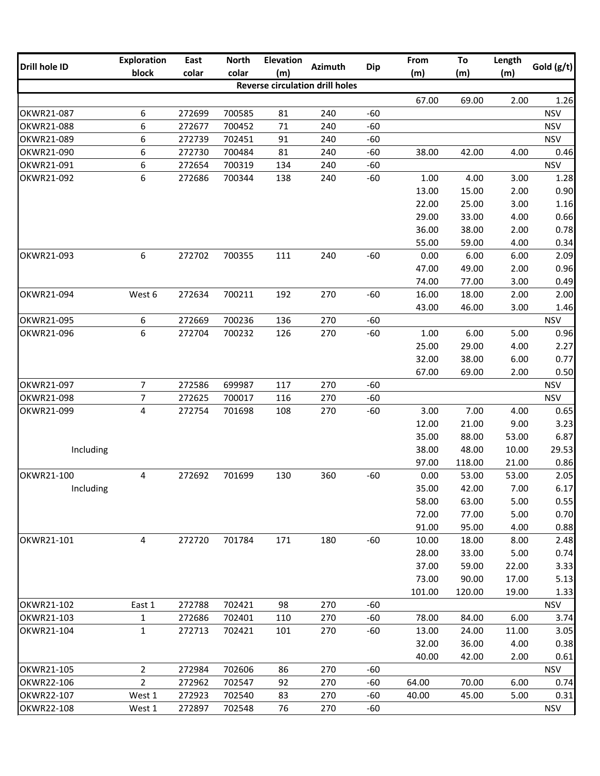| Drill hole ID | <b>Exploration</b> | East   | <b>North</b> | <b>Elevation</b>                       | <b>Azimuth</b> | <b>Dip</b> | From   | To     | Length | Gold (g/t) |
|---------------|--------------------|--------|--------------|----------------------------------------|----------------|------------|--------|--------|--------|------------|
|               | block              | colar  | colar        | (m)                                    |                |            | (m)    | (m)    | (m)    |            |
|               |                    |        |              | <b>Reverse circulation drill holes</b> |                |            |        |        |        |            |
|               |                    |        |              |                                        |                |            | 67.00  | 69.00  | 2.00   | 1.26       |
| OKWR21-087    | 6                  | 272699 | 700585       | 81                                     | 240            | $-60$      |        |        |        | <b>NSV</b> |
| OKWR21-088    | 6                  | 272677 | 700452       | 71                                     | 240            | $-60$      |        |        |        | <b>NSV</b> |
| OKWR21-089    | 6                  | 272739 | 702451       | 91                                     | 240            | $-60$      |        |        |        | <b>NSV</b> |
| OKWR21-090    | 6                  | 272730 | 700484       | 81                                     | 240            | $-60$      | 38.00  | 42.00  | 4.00   | 0.46       |
| OKWR21-091    | 6                  | 272654 | 700319       | 134                                    | 240            | $-60$      |        |        |        | <b>NSV</b> |
| OKWR21-092    | 6                  | 272686 | 700344       | 138                                    | 240            | $-60$      | 1.00   | 4.00   | 3.00   | 1.28       |
|               |                    |        |              |                                        |                |            | 13.00  | 15.00  | 2.00   | 0.90       |
|               |                    |        |              |                                        |                |            | 22.00  | 25.00  | 3.00   | 1.16       |
|               |                    |        |              |                                        |                |            | 29.00  | 33.00  | 4.00   | 0.66       |
|               |                    |        |              |                                        |                |            | 36.00  | 38.00  | 2.00   | 0.78       |
|               |                    |        |              |                                        |                |            | 55.00  | 59.00  | 4.00   | 0.34       |
| OKWR21-093    | 6                  | 272702 | 700355       | 111                                    | 240            | $-60$      | 0.00   | 6.00   | 6.00   | 2.09       |
|               |                    |        |              |                                        |                |            | 47.00  | 49.00  | 2.00   | 0.96       |
|               |                    |        |              |                                        |                |            | 74.00  | 77.00  | 3.00   | 0.49       |
| OKWR21-094    | West 6             | 272634 | 700211       | 192                                    | 270            | $-60$      | 16.00  | 18.00  | 2.00   | 2.00       |
|               |                    |        |              |                                        |                |            | 43.00  | 46.00  | 3.00   | 1.46       |
| OKWR21-095    | 6                  | 272669 | 700236       | 136                                    | 270            | $-60$      |        |        |        | <b>NSV</b> |
| OKWR21-096    | 6                  | 272704 | 700232       | 126                                    | 270            | $-60$      | 1.00   | 6.00   | 5.00   | 0.96       |
|               |                    |        |              |                                        |                |            | 25.00  | 29.00  | 4.00   | 2.27       |
|               |                    |        |              |                                        |                |            | 32.00  | 38.00  | 6.00   | 0.77       |
|               |                    |        |              |                                        |                |            | 67.00  | 69.00  | 2.00   | 0.50       |
| OKWR21-097    | $\overline{7}$     | 272586 | 699987       | 117                                    | 270            | $-60$      |        |        |        | <b>NSV</b> |
| OKWR21-098    | $\overline{7}$     | 272625 | 700017       | 116                                    | 270            | $-60$      |        |        |        | <b>NSV</b> |
| OKWR21-099    | $\overline{4}$     | 272754 | 701698       | 108                                    | 270            | $-60$      | 3.00   | 7.00   | 4.00   | 0.65       |
|               |                    |        |              |                                        |                |            | 12.00  | 21.00  | 9.00   | 3.23       |
|               |                    |        |              |                                        |                |            | 35.00  | 88.00  | 53.00  | 6.87       |
| Including     |                    |        |              |                                        |                |            | 38.00  | 48.00  | 10.00  | 29.53      |
|               |                    |        |              |                                        |                |            | 97.00  | 118.00 | 21.00  | 0.86       |
| OKWR21-100    | 4                  | 272692 | 701699       | 130                                    | 360            | $-60$      | 0.00   | 53.00  | 53.00  | 2.05       |
| Including     |                    |        |              |                                        |                |            | 35.00  | 42.00  | 7.00   | 6.17       |
|               |                    |        |              |                                        |                |            | 58.00  | 63.00  | 5.00   | 0.55       |
|               |                    |        |              |                                        |                |            | 72.00  | 77.00  | 5.00   | 0.70       |
|               |                    |        |              |                                        |                |            | 91.00  | 95.00  | 4.00   | 0.88       |
| OKWR21-101    | 4                  | 272720 | 701784       | 171                                    | 180            | $-60$      | 10.00  | 18.00  | 8.00   | 2.48       |
|               |                    |        |              |                                        |                |            | 28.00  | 33.00  | 5.00   | 0.74       |
|               |                    |        |              |                                        |                |            | 37.00  | 59.00  | 22.00  | 3.33       |
|               |                    |        |              |                                        |                |            | 73.00  | 90.00  | 17.00  | 5.13       |
|               |                    |        |              |                                        |                |            | 101.00 | 120.00 | 19.00  | 1.33       |
| OKWR21-102    | East 1             | 272788 | 702421       | 98                                     | 270            | $-60$      |        |        |        | <b>NSV</b> |
| OKWR21-103    | $\mathbf{1}$       | 272686 | 702401       | 110                                    | 270            | $-60$      | 78.00  | 84.00  | 6.00   | 3.74       |
| OKWR21-104    | $\mathbf 1$        | 272713 | 702421       | 101                                    | 270            | $-60$      | 13.00  | 24.00  | 11.00  | 3.05       |
|               |                    |        |              |                                        |                |            | 32.00  | 36.00  | 4.00   | 0.38       |
|               |                    |        |              |                                        |                |            | 40.00  | 42.00  | 2.00   | 0.61       |
| OKWR21-105    | $\overline{2}$     | 272984 | 702606       | 86                                     | 270            | $-60$      |        |        |        | <b>NSV</b> |
| OKWR22-106    | $\overline{2}$     | 272962 | 702547       | 92                                     | 270            | $-60$      | 64.00  | 70.00  | 6.00   | 0.74       |
| OKWR22-107    | West 1             | 272923 | 702540       | 83                                     | 270            | $-60$      | 40.00  | 45.00  | 5.00   | 0.31       |
| OKWR22-108    | West 1             | 272897 | 702548       | 76                                     | 270            | $-60$      |        |        |        | <b>NSV</b> |